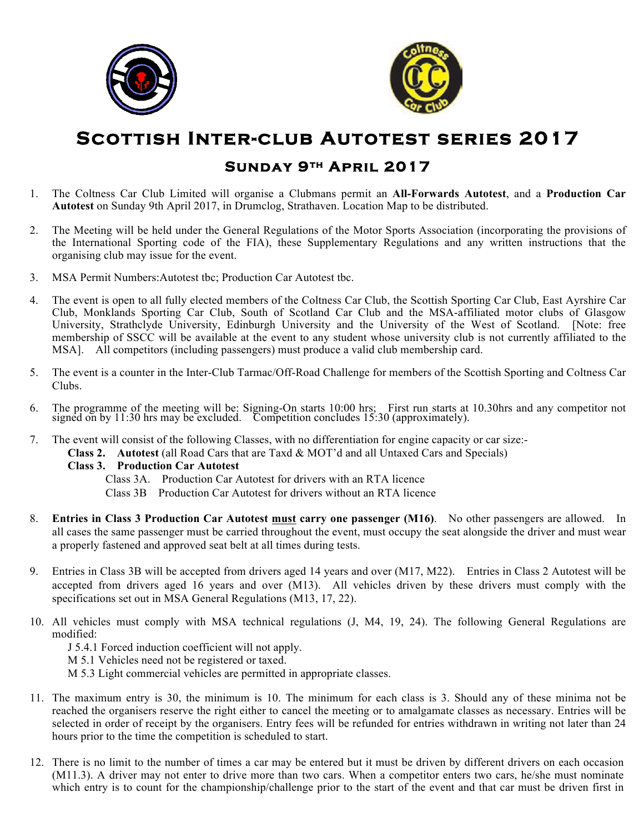



# **Scottish Inter-club Autotest series 2017**

## **Sunday 9th April 2017**

- 1. The Coltness Car Club Limited will organise a Clubmans permit an **All-Forwards Autotest**, and a **Production Car Autotest** on Sunday 9th April 2017, in Drumclog, Strathaven. Location Map to be distributed.
- 2. The Meeting will be held under the General Regulations of the Motor Sports Association (incorporating the provisions of the International Sporting code of the FIA), these Supplementary Regulations and any written instructions that the organising club may issue for the event.
- 3. MSA Permit Numbers:Autotest tbc; Production Car Autotest tbc.
- 4. The event is open to all fully elected members of the Coltness Car Club, the Scottish Sporting Car Club, East Ayrshire Car Club, Monklands Sporting Car Club, South of Scotland Car Club and the MSA-affiliated motor clubs of Glasgow University, Strathclyde University, Edinburgh University and the University of the West of Scotland. [Note: free membership of SSCC will be available at the event to any student whose university club is not currently affiliated to the MSA]. All competitors (including passengers) must produce a valid club membership card.
- 5. The event is a counter in the Inter-Club Tarmac/Off-Road Challenge for members of the Scottish Sporting and Coltness Car Clubs.
- 6. The programme of the meeting will be: Signing-On starts 10:00 hrs; First run starts at 10.30hrs and any competitor not signed on by 11:30 hrs may be excluded. Competition concludes 15:30 (approximately).
- 7. The event will consist of the following Classes, with no differentiation for engine capacity or car size:-
	- **Class 2. Autotest** (all Road Cars that are Taxd & MOT'd and all Untaxed Cars and Specials)

## **Class 3. Production Car Autotest**

Class 3A. Production Car Autotest for drivers with an RTA licence

- Class 3B Production Car Autotest for drivers without an RTA licence
- 8. **Entries in Class 3 Production Car Autotest must carry one passenger (M16)**. No other passengers are allowed. In all cases the same passenger must be carried throughout the event, must occupy the seat alongside the driver and must wear a properly fastened and approved seat belt at all times during tests.
- 9. Entries in Class 3B will be accepted from drivers aged 14 years and over (M17, M22). Entries in Class 2 Autotest will be accepted from drivers aged 16 years and over (M13). All vehicles driven by these drivers must comply with the specifications set out in MSA General Regulations (M13, 17, 22).
- 10. All vehicles must comply with MSA technical regulations (J, M4, 19, 24). The following General Regulations are modified:
	- J 5.4.1 Forced induction coefficient will not apply.
	- M 5.1 Vehicles need not be registered or taxed.
	- M 5.3 Light commercial vehicles are permitted in appropriate classes.
- 11. The maximum entry is 30, the minimum is 10. The minimum for each class is 3. Should any of these minima not be reached the organisers reserve the right either to cancel the meeting or to amalgamate classes as necessary. Entries will be selected in order of receipt by the organisers. Entry fees will be refunded for entries withdrawn in writing not later than 24 hours prior to the time the competition is scheduled to start.
- 12. There is no limit to the number of times a car may be entered but it must be driven by different drivers on each occasion (M11.3). A driver may not enter to drive more than two cars. When a competitor enters two cars, he/she must nominate which entry is to count for the championship/challenge prior to the start of the event and that car must be driven first in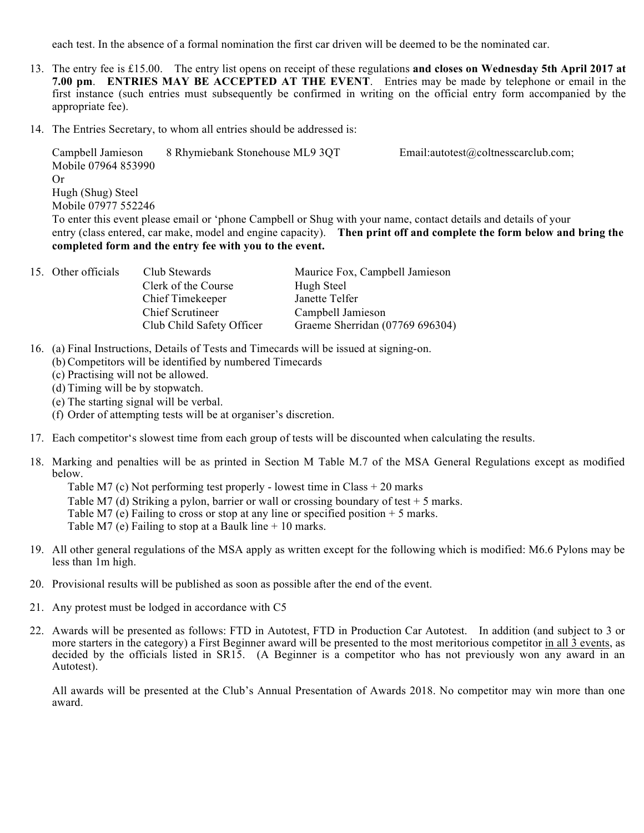each test. In the absence of a formal nomination the first car driven will be deemed to be the nominated car.

- 13. The entry fee is £15.00. The entry list opens on receipt of these regulations **and closes on Wednesday 5th April 2017 at 7.00 pm**. **ENTRIES MAY BE ACCEPTED AT THE EVENT**. Entries may be made by telephone or email in the first instance (such entries must subsequently be confirmed in writing on the official entry form accompanied by the appropriate fee).
- 14. The Entries Secretary, to whom all entries should be addressed is:

Campbell Jamieson 8 Rhymiebank Stonehouse ML9 3QT Email:autotest@coltnesscarclub.com; Mobile 07964 853990 Or Hugh (Shug) Steel Mobile 07977 552246 To enter this event please email or 'phone Campbell or Shug with your name, contact details and details of your entry (class entered, car make, model and engine capacity). **Then print off and complete the form below and bring the** 

## **completed form and the entry fee with you to the event.**

| 15. Other officials | Club Stewards             | Maurice Fox, Campbell Jamieson  |
|---------------------|---------------------------|---------------------------------|
|                     | Clerk of the Course       | Hugh Steel                      |
|                     | Chief Timekeeper          | Janette Telfer                  |
|                     | Chief Scrutineer          | Campbell Jamieson               |
|                     | Club Child Safety Officer | Graeme Sherridan (07769 696304) |

- 16. (a) Final Instructions, Details of Tests and Timecards will be issued at signing-on.
	- (b) Competitors will be identified by numbered Timecards
	- (c) Practising will not be allowed.
	- (d) Timing will be by stopwatch.
	- (e) The starting signal will be verbal.
	- (f) Order of attempting tests will be at organiser's discretion.
- 17. Each competitor's slowest time from each group of tests will be discounted when calculating the results.
- 18. Marking and penalties will be as printed in Section M Table M.7 of the MSA General Regulations except as modified below.

Table M7 (c) Not performing test properly - lowest time in Class + 20 marks

Table M7 (d) Striking a pylon, barrier or wall or crossing boundary of test  $+5$  marks.

Table M7 (e) Failing to cross or stop at any line or specified position  $+ 5$  marks.

Table M7 (e) Failing to stop at a Baulk line + 10 marks.

- 19. All other general regulations of the MSA apply as written except for the following which is modified: M6.6 Pylons may be less than 1m high.
- 20. Provisional results will be published as soon as possible after the end of the event.
- 21. Any protest must be lodged in accordance with C5
- 22. Awards will be presented as follows: FTD in Autotest, FTD in Production Car Autotest. In addition (and subject to 3 or more starters in the category) a First Beginner award will be presented to the most meritorious competitor in all 3 events, as decided by the officials listed in SR15. (A Beginner is a competitor who has not previously won any award in an Autotest).

All awards will be presented at the Club's Annual Presentation of Awards 2018. No competitor may win more than one award.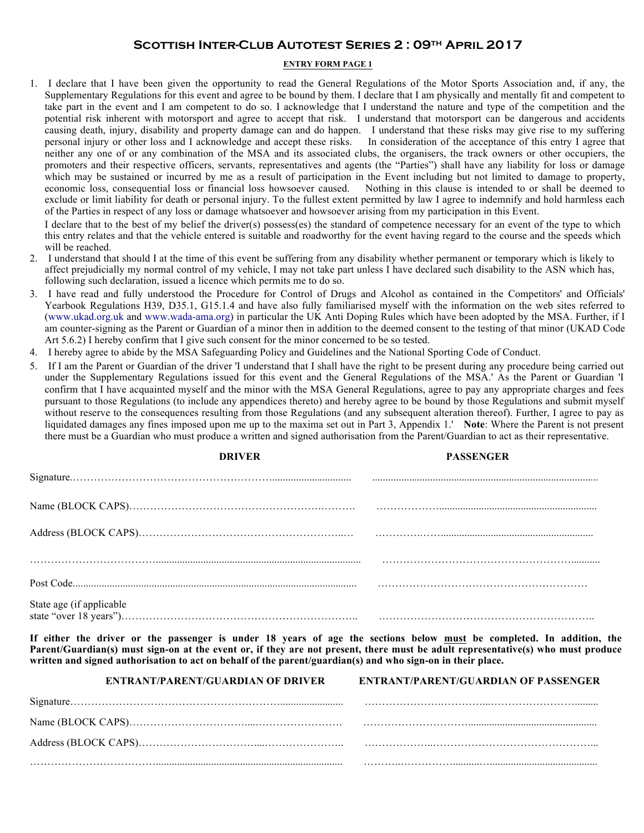## **Scottish Inter-Club Autotest Series 2 : 09th April 2017**

### **ENTRY FORM PAGE 1**

1. I declare that I have been given the opportunity to read the General Regulations of the Motor Sports Association and, if any, the Supplementary Regulations for this event and agree to be bound by them. I declare that I am physically and mentally fit and competent to take part in the event and I am competent to do so. I acknowledge that I understand the nature and type of the competition and the potential risk inherent with motorsport and agree to accept that risk. I understand that motorsport can be dangerous and accidents causing death, injury, disability and property damage can and do happen. I understand that these risks may give rise to my suffering personal injury or other loss and I acknowledge and accept these risks. In consideration of the acceptance of this entry I agree that neither any one of or any combination of the MSA and its associated clubs, the organisers, the track owners or other occupiers, the promoters and their respective officers, servants, representatives and agents (the "Parties") shall have any liability for loss or damage which may be sustained or incurred by me as a result of participation in the Event including but not limited to damage to property, economic loss, consequential loss or financial loss howsoever caused. Nothing in this clause is intended to or shall be deemed to exclude or limit liability for death or personal injury. To the fullest extent permitted by law I agree to indemnify and hold harmless each of the Parties in respect of any loss or damage whatsoever and howsoever arising from my participation in this Event.

I declare that to the best of my belief the driver(s) possess(es) the standard of competence necessary for an event of the type to which this entry relates and that the vehicle entered is suitable and roadworthy for the event having regard to the course and the speeds which will be reached.

- 2. I understand that should I at the time of this event be suffering from any disability whether permanent or temporary which is likely to affect prejudicially my normal control of my vehicle, I may not take part unless I have declared such disability to the ASN which has, following such declaration, issued a licence which permits me to do so.
- 3. I have read and fully understood the Procedure for Control of Drugs and Alcohol as contained in the Competitors' and Officials' Yearbook Regulations H39, D35.1, G15.1.4 and have also fully familiarised myself with the information on the web sites referred to (www.ukad.org.uk and www.wada-ama.org) in particular the UK Anti Doping Rules which have been adopted by the MSA. Further, if I am counter-signing as the Parent or Guardian of a minor then in addition to the deemed consent to the testing of that minor (UKAD Code Art 5.6.2) I hereby confirm that I give such consent for the minor concerned to be so tested.
- 4. I hereby agree to abide by the MSA Safeguarding Policy and Guidelines and the National Sporting Code of Conduct.
- 5. If I am the Parent or Guardian of the driver 'I understand that I shall have the right to be present during any procedure being carried out under the Supplementary Regulations issued for this event and the General Regulations of the MSA.' As the Parent or Guardian 'I confirm that I have acquainted myself and the minor with the MSA General Regulations, agree to pay any appropriate charges and fees pursuant to those Regulations (to include any appendices thereto) and hereby agree to be bound by those Regulations and submit myself without reserve to the consequences resulting from those Regulations (and any subsequent alteration thereof). Further, I agree to pay as liquidated damages any fines imposed upon me up to the maxima set out in Part 3, Appendix 1.' **Note**: Where the Parent is not present there must be a Guardian who must produce a written and signed authorisation from the Parent/Guardian to act as their representative.

|                          | <b>DRIVER</b> | <b>PASSENGER</b> |
|--------------------------|---------------|------------------|
|                          |               |                  |
|                          |               |                  |
|                          |               |                  |
|                          |               |                  |
|                          |               |                  |
| State age (if applicable |               |                  |

**If either the driver or the passenger is under 18 years of age the sections below must be completed. In addition, the Parent/Guardian(s) must sign-on at the event or, if they are not present, there must be adult representative(s) who must produce written and signed authorisation to act on behalf of the parent/guardian(s) and who sign-on in their place.**

| <b>ENTRANT/PARENT/GUARDIAN OF DRIVER</b> | <b>ENTRANT/PARENT/GUARDIAN OF PASSENGER</b> |
|------------------------------------------|---------------------------------------------|
|                                          |                                             |
|                                          |                                             |
|                                          |                                             |
|                                          |                                             |